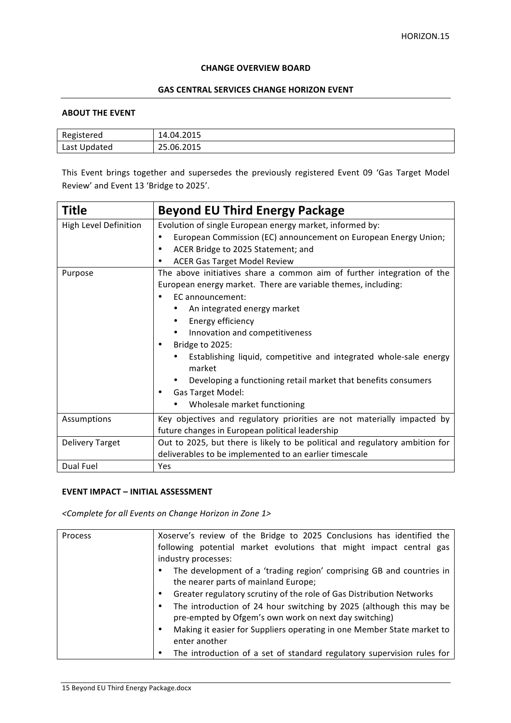#### **CHANGE OVERVIEW BOARD**

## **GAS CENTRAL SERVICES CHANGE HORIZON EVENT**

### **ABOUT THE EVENT**

| Registered   | 14.04.2015 |
|--------------|------------|
| Last Updated | 25.06.2015 |

This Event brings together and supersedes the previously registered Event 09 'Gas Target Model Review' and Event 13 'Bridge to 2025'.

| <b>Title</b>           | <b>Beyond EU Third Energy Package</b>                                        |
|------------------------|------------------------------------------------------------------------------|
| High Level Definition  | Evolution of single European energy market, informed by:                     |
|                        | European Commission (EC) announcement on European Energy Union;              |
|                        | ACER Bridge to 2025 Statement; and<br>٠                                      |
|                        | <b>ACER Gas Target Model Review</b>                                          |
| Purpose                | The above initiatives share a common aim of further integration of the       |
|                        | European energy market. There are variable themes, including:                |
|                        | EC announcement:                                                             |
|                        | An integrated energy market                                                  |
|                        | Energy efficiency                                                            |
|                        | Innovation and competitiveness<br>٠                                          |
|                        | Bridge to 2025:                                                              |
|                        | Establishing liquid, competitive and integrated whole-sale energy<br>market  |
|                        | Developing a functioning retail market that benefits consumers               |
|                        | Gas Target Model:                                                            |
|                        | Wholesale market functioning                                                 |
| Assumptions            | Key objectives and regulatory priorities are not materially impacted by      |
|                        | future changes in European political leadership                              |
| <b>Delivery Target</b> | Out to 2025, but there is likely to be political and regulatory ambition for |
|                        | deliverables to be implemented to an earlier timescale                       |
| Dual Fuel              | Yes                                                                          |

### **EVENT IMPACT – INITIAL ASSESSMENT**

*<Complete for all Events on Change Horizon in Zone 1>*

| Process | Xoserve's review of the Bridge to 2025 Conclusions has identified the                                                        |
|---------|------------------------------------------------------------------------------------------------------------------------------|
|         | following potential market evolutions that might impact central gas                                                          |
|         | industry processes:                                                                                                          |
|         | The development of a 'trading region' comprising GB and countries in<br>the nearer parts of mainland Europe;                 |
|         | Greater regulatory scrutiny of the role of Gas Distribution Networks                                                         |
|         | The introduction of 24 hour switching by 2025 (although this may be<br>pre-empted by Ofgem's own work on next day switching) |
|         | Making it easier for Suppliers operating in one Member State market to<br>٠<br>enter another                                 |
|         | The introduction of a set of standard regulatory supervision rules for                                                       |